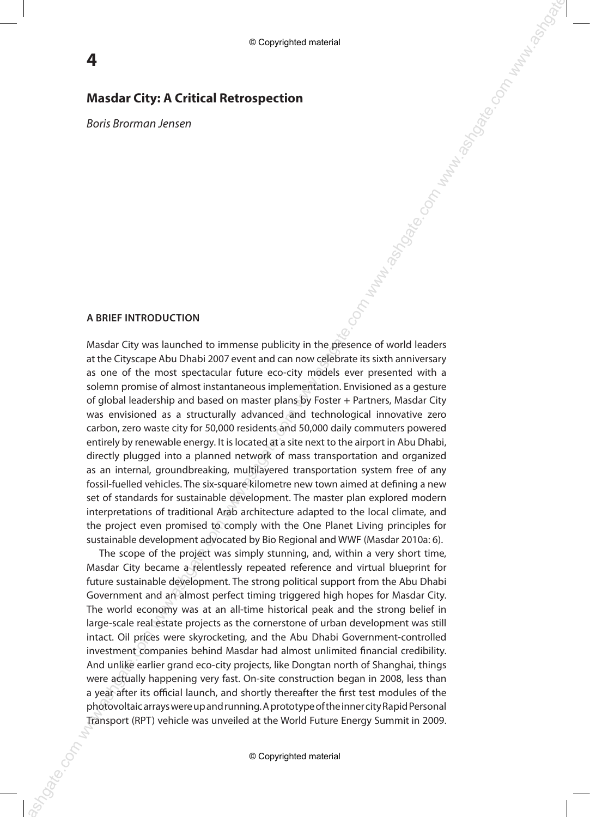# **Masdar City: A Critical Retrospection**

*Boris Brorman Jensen*

#### **A Brief Introduction**

4<br>
4<br>
Was dar City: A Critical Retrospection<br>
Book Browner, Krister, A Critical Retrospection<br>
Book Browner, Krister<br>
Mass dar City: A Critical Retrospection<br>
Mass dar City: A Critical Retrospection<br>
Mass dar City: A Crit Masdar City was launched to immense publicity in the presence of world leaders at the Cityscape Abu Dhabi 2007 event and can now celebrate its sixth anniversary as one of the most spectacular future eco-city models ever presented with a solemn promise of almost instantaneous implementation. Envisioned as a gesture of global leadership and based on master plans by Foster + Partners, Masdar City was envisioned as a structurally advanced and technological innovative zero carbon, zero waste city for 50,000 residents and 50,000 daily commuters powered entirely by renewable energy. It is located at a site next to the airport in Abu Dhabi, directly plugged into a planned network of mass transportation and organized as an internal, groundbreaking, multilayered transportation system free of any fossil-fuelled vehicles. The six-square kilometre new town aimed at defining a new set of standards for sustainable development. The master plan explored modern interpretations of traditional Arab architecture adapted to the local climate, and the project even promised to comply with the One Planet Living principles for sustainable development advocated by Bio Regional and WWF (Masdar 2010a: 6).

The scope of the project was simply stunning, and, within a very short time, Masdar City became a relentlessly repeated reference and virtual blueprint for future sustainable development. The strong political support from the Abu Dhabi Government and an almost perfect timing triggered high hopes for Masdar City. The world economy was at an all-time historical peak and the strong belief in large-scale real estate projects as the cornerstone of urban development was still intact. Oil prices were skyrocketing, and the Abu Dhabi Government-controlled investment companies behind Masdar had almost unlimited financial credibility. And unlike earlier grand eco-city projects, like Dongtan north of Shanghai, things were actually happening very fast. On-site construction began in 2008, less than a year after its official launch, and shortly thereafter the first test modules of the photovoltaic arrays were up and running. A prototype of the inner city Rapid Personal Transport (RPT) vehicle was unveiled at the World Future Energy Summit in 2009.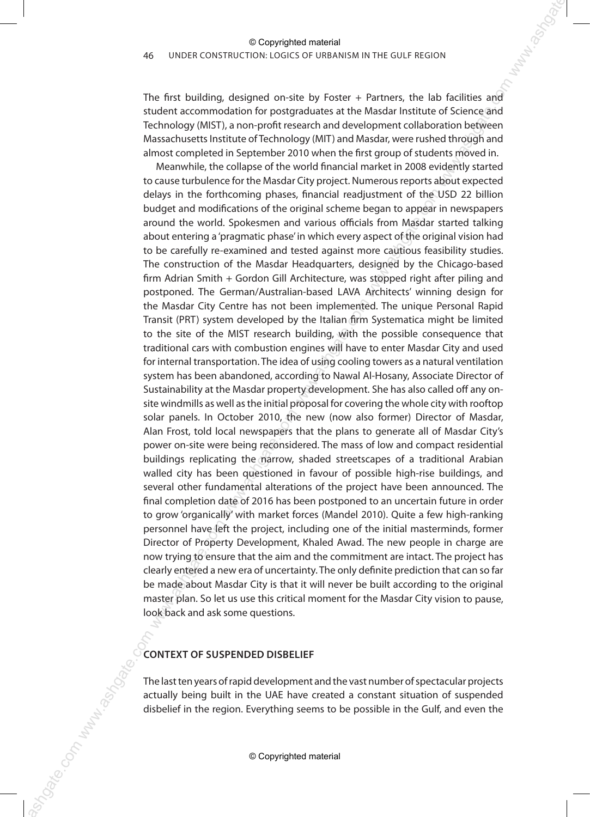The first building, designed on-site by Foster + Partners, the lab facilities and student accommodation for postgraduates at the Masdar Institute of Science and Technology (MIST), a non-profit research and development collaboration between Massachusetts Institute of Technology (MIT) and Masdar, were rushed through and almost completed in September 2010 when the first group of students moved in.

64. UNEAR CONSURATION CONSURATION OF THE CONSULTER CONSULTER (SCIENCING THE STRAIGHT) CONSULTER THE CONSULTER CONSULTER (SCIENCING THE CONSULTER CONSULTER CONSULTER (SCIENCING THE CONSULTER CONSULTER THE CONSULTER CONSULT Meanwhile, the collapse of the world financial market in 2008 evidently started to cause turbulence for the Masdar City project. Numerous reports about expected delays in the forthcoming phases, financial readjustment of the USD 22 billion budget and modifications of the original scheme began to appear in newspapers around the world. Spokesmen and various officials from Masdar started talking about entering a 'pragmatic phase' in which every aspect of the original vision had to be carefully re-examined and tested against more cautious feasibility studies. The construction of the Masdar Headquarters, designed by the Chicago-based firm Adrian Smith + Gordon Gill Architecture, was stopped right after piling and postponed. The German/Australian-based LAVA Architects' winning design for the Masdar City Centre has not been implemented. The unique Personal Rapid Transit (PRT) system developed by the Italian firm Systematica might be limited to the site of the MIST research building, with the possible consequence that traditional cars with combustion engines will have to enter Masdar City and used for internal transportation. The idea of using cooling towers as a natural ventilation system has been abandoned, according to Nawal Al-Hosany, Associate Director of Sustainability at the Masdar property development. She has also called off any onsite windmills as well as the initial proposal for covering the whole city with rooftop solar panels. In October 2010, the new (now also former) Director of Masdar, Alan Frost, told local newspapers that the plans to generate all of Masdar City's power on-site were being reconsidered. The mass of low and compact residential buildings replicating the narrow, shaded streetscapes of a traditional Arabian walled city has been questioned in favour of possible high-rise buildings, and several other fundamental alterations of the project have been announced. The final completion date of 2016 has been postponed to an uncertain future in order to grow 'organically' with market forces (Mandel 2010). Quite a few high-ranking personnel have left the project, including one of the initial masterminds, former Director of Property Development, Khaled Awad. The new people in charge are now trying to ensure that the aim and the commitment are intact. The project has clearly entered a new era of uncertainty. The only definite prediction that can so far be made about Masdar City is that it will never be built according to the original master plan. So let us use this critical moment for the Masdar City vision to pause, look back and ask some questions.

# **Context of Suspended Disbelief**

The last ten years of rapid development and the vast number of spectacular projects actually being built in the UAE have created a constant situation of suspended disbelief in the region. Everything seems to be possible in the Gulf, and even the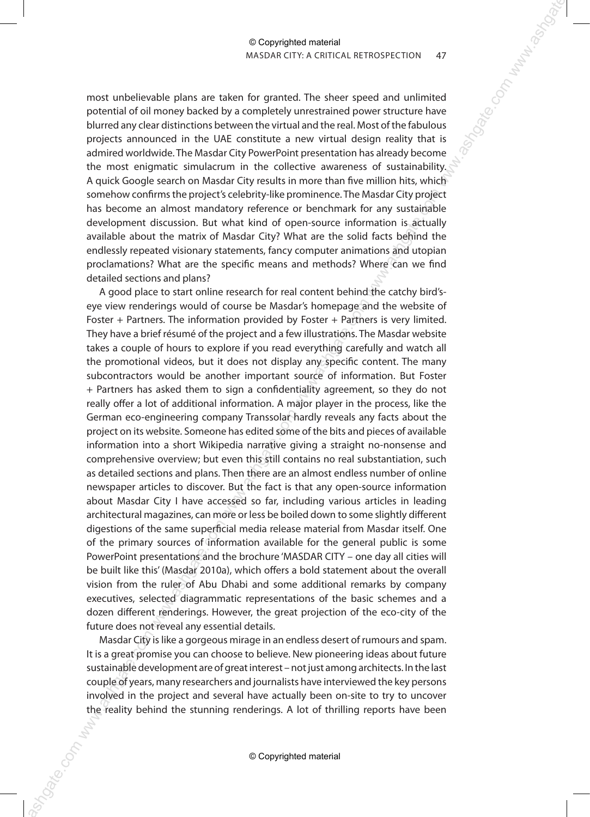most unbelievable plans are taken for granted. The sheer speed and unlimited potential of oil money backed by a completely unrestrained power structure have blurred any clear distinctions between the virtual and the real. Most of the fabulous projects announced in the UAE constitute a new virtual design reality that is admired worldwide. The Masdar City PowerPoint presentation has already become the most enigmatic simulacrum in the collective awareness of sustainability. A quick Google search on Masdar City results in more than five million hits, which somehow confirms the project's celebrity-like prominence. The Masdar City project has become an almost mandatory reference or benchmark for any sustainable development discussion. But what kind of open-source information is actually available about the matrix of Masdar City? What are the solid facts behind the endlessly repeated visionary statements, fancy computer animations and utopian proclamations? What are the specific means and methods? Where can we find detailed sections and plans?

63 Convertice method, the process in the section of the section of the section of the section of the section of the section of the section of the section of the section of the section of the section of the section of the A good place to start online research for real content behind the catchy bird'seye view renderings would of course be Masdar's homepage and the website of Foster + Partners. The information provided by Foster + Partners is very limited. They have a brief résumé of the project and a few illustrations. The Masdar website takes a couple of hours to explore if you read everything carefully and watch all the promotional videos, but it does not display any specific content. The many subcontractors would be another important source of information. But Foster + Partners has asked them to sign a confidentiality agreement, so they do not really offer a lot of additional information. A major player in the process, like the German eco-engineering company Transsolar hardly reveals any facts about the project on its website. Someone has edited some of the bits and pieces of available information into a short Wikipedia narrative giving a straight no-nonsense and comprehensive overview; but even this still contains no real substantiation, such as detailed sections and plans. Then there are an almost endless number of online newspaper articles to discover. But the fact is that any open-source information about Masdar City I have accessed so far, including various articles in leading architectural magazines, can more or less be boiled down to some slightly different digestions of the same superficial media release material from Masdar itself. One of the primary sources of information available for the general public is some PowerPoint presentations and the brochure 'MASDAR CITY – one day all cities will be built like this' (Masdar 2010a), which offers a bold statement about the overall vision from the ruler of Abu Dhabi and some additional remarks by company executives, selected diagrammatic representations of the basic schemes and a dozen different renderings. However, the great projection of the eco-city of the future does not reveal any essential details.

Masdar City is like a gorgeous mirage in an endless desert of rumours and spam. It is a great promise you can choose to believe. New pioneering ideas about future sustainable development are of great interest – not just among architects. In the last couple of years, many researchers and journalists have interviewed the key persons involved in the project and several have actually been on-site to try to uncover the reality behind the stunning renderings. A lot of thrilling reports have been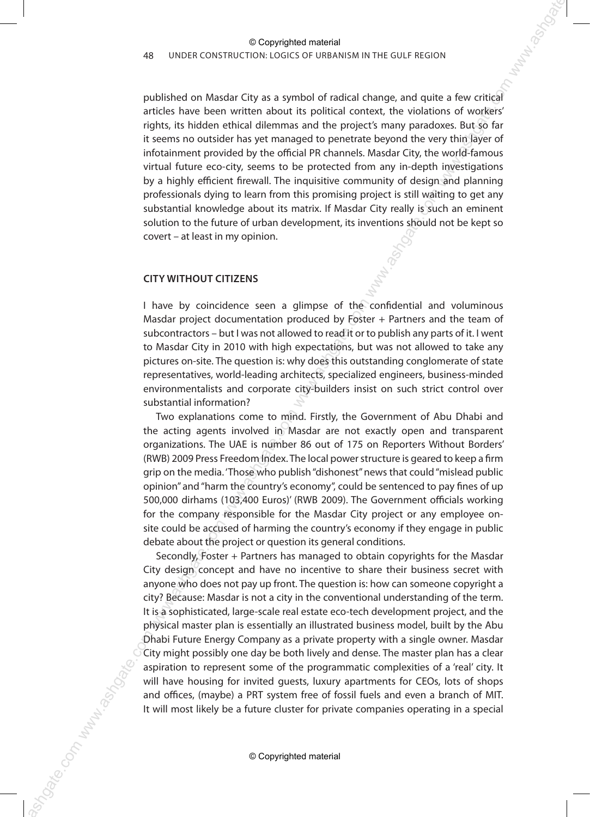#### 48 Under Construction: Logics of Urbanism in the Gulf Region © Copyrighted material

published on Masdar City as a symbol of radical change, and quite a few critical articles have been written about its political context, the violations of workers' rights, its hidden ethical dilemmas and the project's many paradoxes. But so far it seems no outsider has yet managed to penetrate beyond the very thin layer of infotainment provided by the official PR channels. Masdar City, the world-famous virtual future eco-city, seems to be protected from any in-depth investigations by a highly efficient firewall. The inquisitive community of design and planning professionals dying to learn from this promising project is still waiting to get any substantial knowledge about its matrix. If Masdar City really is such an eminent solution to the future of urban development, its inventions should not be kept so covert – at least in my opinion.

## **City without Citizens**

I have by coincidence seen a glimpse of the confidential and voluminous Masdar project documentation produced by Foster + Partners and the team of subcontractors – but I was not allowed to read it or to publish any parts of it. I went to Masdar City in 2010 with high expectations, but was not allowed to take any pictures on-site. The question is: why does this outstanding conglomerate of state representatives, world-leading architects, specialized engineers, business-minded environmentalists and corporate city-builders insist on such strict control over substantial information?

Two explanations come to mind. Firstly, the Government of Abu Dhabi and the acting agents involved in Masdar are not exactly open and transparent organizations. The UAE is number 86 out of 175 on Reporters Without Borders' (RWB) 2009 Press Freedom Index. The local power structure is geared to keep a firm grip on the media. 'Those who publish "dishonest" news that could "mislead public opinion" and "harm the country's economy", could be sentenced to pay fines of up 500,000 dirhams (103,400 Euros)' (RWB 2009). The Government officials working for the company responsible for the Masdar City project or any employee onsite could be accused of harming the country's economy if they engage in public debate about the project or question its general conditions.

46. UNEAR CONSULTER (CONFIDENTIES) and the control of the content of the content of the content of the content of the content of the content of the content of the content of the content of the content of the content of th Secondly, Foster + Partners has managed to obtain copyrights for the Masdar City design concept and have no incentive to share their business secret with anyone who does not pay up front. The question is: how can someone copyright a city? Because: Masdar is not a city in the conventional understanding of the term. It is a sophisticated, large-scale real estate eco-tech development project, and the physical master plan is essentially an illustrated business model, built by the Abu Dhabi Future Energy Company as a private property with a single owner. Masdar City might possibly one day be both lively and dense. The master plan has a clear aspiration to represent some of the programmatic complexities of a 'real' city. It will have housing for invited guests, luxury apartments for CEOs, lots of shops and offices, (maybe) a PRT system free of fossil fuels and even a branch of MIT. It will most likely be a future cluster for private companies operating in a special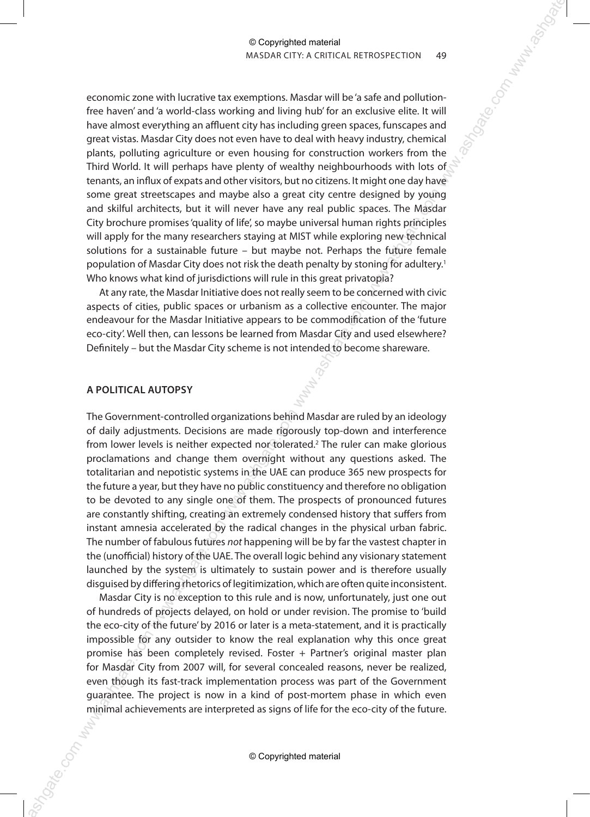63 Concrete were the transition of the concrete matrix  $\sim$  Concrete matrix and the concrete matrix and the concrete matrix and the concrete matrix and the concrete matrix and the concrete matrix and the concrete matrix a economic zone with lucrative tax exemptions. Masdar will be 'a safe and pollutionfree haven' and 'a world-class working and living hub' for an exclusive elite. It will have almost everything an affluent city has including green spaces, funscapes and great vistas. Masdar City does not even have to deal with heavy industry, chemical plants, polluting agriculture or even housing for construction workers from the Third World. It will perhaps have plenty of wealthy neighbourhoods with lots of tenants, an influx of expats and other visitors, but no citizens. It might one day have some great streetscapes and maybe also a great city centre designed by young and skilful architects, but it will never have any real public spaces. The Masdar City brochure promises 'quality of life', so maybe universal human rights principles will apply for the many researchers staying at MIST while exploring new technical solutions for a sustainable future – but maybe not. Perhaps the future female population of Masdar City does not risk the death penalty by stoning for adultery.1 Who knows what kind of jurisdictions will rule in this great privatopia?

At any rate, the Masdar Initiative does not really seem to be concerned with civic aspects of cities, public spaces or urbanism as a collective encounter. The major endeavour for the Masdar Initiative appears to be commodification of the 'future eco-city'. Well then, can lessons be learned from Masdar City and used elsewhere? Definitely – but the Masdar City scheme is not intended to become shareware.

## **A Political Autopsy**

The Government-controlled organizations behind Masdar are ruled by an ideology of daily adjustments. Decisions are made rigorously top-down and interference from lower levels is neither expected nor tolerated.<sup>2</sup> The ruler can make glorious proclamations and change them overnight without any questions asked. The totalitarian and nepotistic systems in the UAE can produce 365 new prospects for the future a year, but they have no public constituency and therefore no obligation to be devoted to any single one of them. The prospects of pronounced futures are constantly shifting, creating an extremely condensed history that suffers from instant amnesia accelerated by the radical changes in the physical urban fabric. The number of fabulous futures *not* happening will be by far the vastest chapter in the (unofficial) history of the UAE. The overall logic behind any visionary statement launched by the system is ultimately to sustain power and is therefore usually disguised by differing rhetorics of legitimization, which are often quite inconsistent.

Masdar City is no exception to this rule and is now, unfortunately, just one out of hundreds of projects delayed, on hold or under revision. The promise to 'build the eco-city of the future' by 2016 or later is a meta-statement, and it is practically impossible for any outsider to know the real explanation why this once great promise has been completely revised. Foster + Partner's original master plan for Masdar City from 2007 will, for several concealed reasons, never be realized, even though its fast-track implementation process was part of the Government guarantee. The project is now in a kind of post-mortem phase in which even minimal achievements are interpreted as signs of life for the eco-city of the future.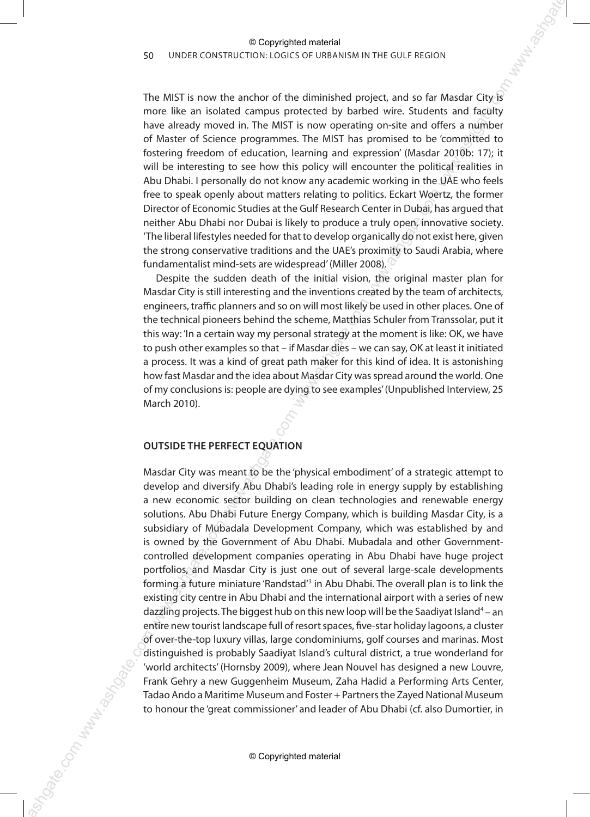The MIST is now the anchor of the diminished project, and so far Masdar City is more like an isolated campus protected by barbed wire. Students and faculty have already moved in. The MIST is now operating on-site and offers a number of Master of Science programmes. The MIST has promised to be 'committed to fostering freedom of education, learning and expression' (Masdar 2010b: 17); it will be interesting to see how this policy will encounter the political realities in Abu Dhabi. I personally do not know any academic working in the UAE who feels free to speak openly about matters relating to politics. Eckart Woertz, the former Director of Economic Studies at the Gulf Research Center in Dubai, has argued that neither Abu Dhabi nor Dubai is likely to produce a truly open, innovative society. 'The liberal lifestyles needed for that to develop organically do not exist here, given the strong conservative traditions and the UAE's proximity to Saudi Arabia, where fundamentalist mind-sets are widespread' (Miller 2008).

Despite the sudden death of the initial vision, the original master plan for Masdar City is still interesting and the inventions created by the team of architects, engineers, traffic planners and so on will most likely be used in other places. One of the technical pioneers behind the scheme, Matthias Schuler from Transsolar, put it this way: 'In a certain way my personal strategy at the moment is like: OK, we have to push other examples so that – if Masdar dies – we can say, OK at least it initiated a process. It was a kind of great path maker for this kind of idea. It is astonishing how fast Masdar and the idea about Masdar City was spread around the world. One of my conclusions is: people are dying to see examples' (Unpublished Interview, 25 March 2010).

# **Outside the Perfect Equation**

60<br>
UNIX CONS CONSULTED and SHOW CONSULTED AND MONUMERATIVE CONSULTED The Matrix CONSULTED TRANSICT and the statistic constrained project, and six for absorption of the statistic constrained project, and six for absorptio Masdar City was meant to be the 'physical embodiment' of a strategic attempt to develop and diversify Abu Dhabi's leading role in energy supply by establishing a new economic sector building on clean technologies and renewable energy solutions. Abu Dhabi Future Energy Company, which is building Masdar City, is a subsidiary of Mubadala Development Company, which was established by and is owned by the Government of Abu Dhabi. Mubadala and other Governmentcontrolled development companies operating in Abu Dhabi have huge project portfolios, and Masdar City is just one out of several large-scale developments forming a future miniature 'Randstad'<sup>3</sup> in Abu Dhabi. The overall plan is to link the existing city centre in Abu Dhabi and the international airport with a series of new dazzling projects. The biggest hub on this new loop will be the Saadiyat Island<sup>4</sup> – an entire new tourist landscape full of resort spaces, five-star holiday lagoons, a cluster of over-the-top luxury villas, large condominiums, golf courses and marinas. Most distinguished is probably Saadiyat Island's cultural district, a true wonderland for 'world architects' (Hornsby 2009), where Jean Nouvel has designed a new Louvre, Frank Gehry a new Guggenheim Museum, Zaha Hadid a Performing Arts Center, Tadao Ando a Maritime Museum and Foster + Partners the Zayed National Museum to honour the 'great commissioner' and leader of Abu Dhabi (cf. also Dumortier, in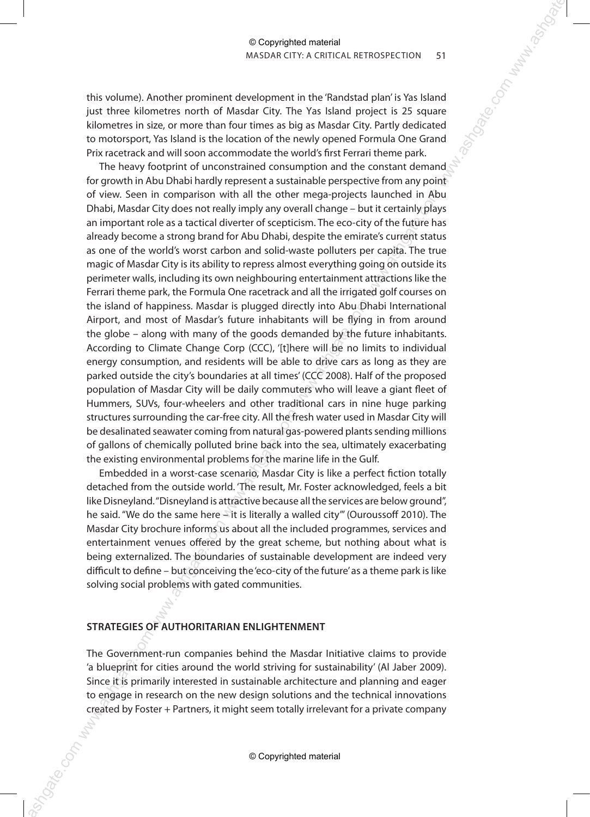this volume). Another prominent development in the 'Randstad plan' is Yas Island just three kilometres north of Masdar City. The Yas Island project is 25 square kilometres in size, or more than four times as big as Masdar City. Partly dedicated to motorsport, Yas Island is the location of the newly opened Formula One Grand Prix racetrack and will soon accommodate the world's first Ferrari theme park.

63 Changetter encourage (63 Changetter and the Changetter and the Value of the Marine Changetter and the Changetter and the Changetter and the Changetter and the Changetter and the Changetter and the Changetter and the Ch The heavy footprint of unconstrained consumption and the constant demand for growth in Abu Dhabi hardly represent a sustainable perspective from any point of view. Seen in comparison with all the other mega-projects launched in Abu Dhabi, Masdar City does not really imply any overall change – but it certainly plays an important role as a tactical diverter of scepticism. The eco-city of the future has already become a strong brand for Abu Dhabi, despite the emirate's current status as one of the world's worst carbon and solid-waste polluters per capita. The true magic of Masdar City is its ability to repress almost everything going on outside its perimeter walls, including its own neighbouring entertainment attractions like the Ferrari theme park, the Formula One racetrack and all the irrigated golf courses on the island of happiness. Masdar is plugged directly into Abu Dhabi International Airport, and most of Masdar's future inhabitants will be flying in from around the globe – along with many of the goods demanded by the future inhabitants. According to Climate Change Corp (CCC), '[t]here will be no limits to individual energy consumption, and residents will be able to drive cars as long as they are parked outside the city's boundaries at all times' (CCC 2008). Half of the proposed population of Masdar City will be daily commuters who will leave a giant fleet of Hummers, SUVs, four-wheelers and other traditional cars in nine huge parking structures surrounding the car-free city. All the fresh water used in Masdar City will be desalinated seawater coming from natural gas-powered plants sending millions of gallons of chemically polluted brine back into the sea, ultimately exacerbating the existing environmental problems for the marine life in the Gulf.

Embedded in a worst-case scenario, Masdar City is like a perfect fiction totally detached from the outside world. 'The result, Mr. Foster acknowledged, feels a bit like Disneyland. "Disneyland is attractive because all the services are below ground", he said. "We do the same here – it is literally a walled city"' (Ouroussoff 2010). The Masdar City brochure informs us about all the included programmes, services and entertainment venues offered by the great scheme, but nothing about what is being externalized. The boundaries of sustainable development are indeed very difficult to define – but conceiving the 'eco-city of the future' as a theme park is like solving social problems with gated communities.

# **Strategies of Authoritarian Enlightenment**

The Government-run companies behind the Masdar Initiative claims to provide 'a blueprint for cities around the world striving for sustainability' (Al Jaber 2009). Since it is primarily interested in sustainable architecture and planning and eager to engage in research on the new design solutions and the technical innovations created by Foster + Partners, it might seem totally irrelevant for a private company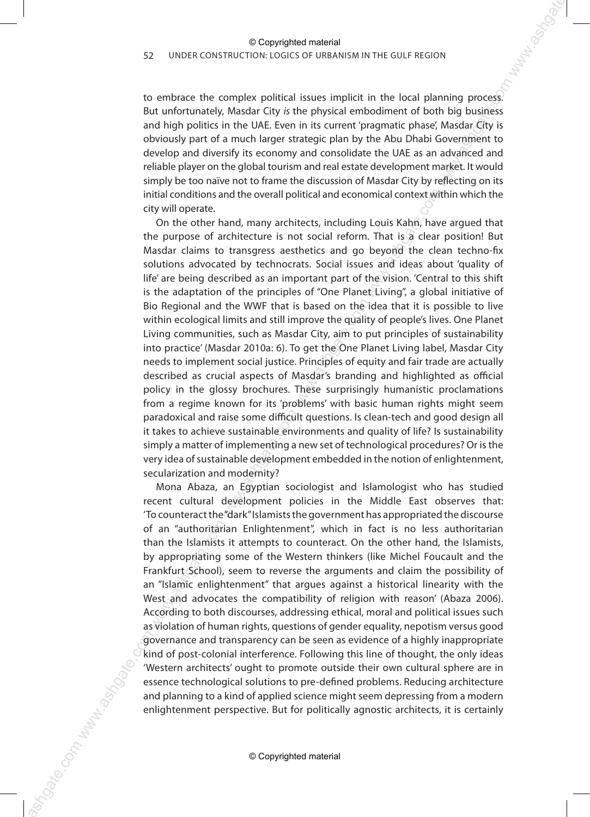to embrace the complex political issues implicit in the local planning process. But unfortunately, Masdar City *is* the physical embodiment of both big business and high politics in the UAE. Even in its current 'pragmatic phase', Masdar City is obviously part of a much larger strategic plan by the Abu Dhabi Government to develop and diversify its economy and consolidate the UAE as an advanced and reliable player on the global tourism and real estate development market. It would simply be too naïve not to frame the discussion of Masdar City by reflecting on its initial conditions and the overall political and economical context within which the city will operate.

so uncertainty and the control of the control of the location of the control of the control of the control of the control of the control of the control of the control of the control of the control of the control of the co On the other hand, many architects, including Louis Kahn, have argued that the purpose of architecture is not social reform. That is a clear position! But Masdar claims to transgress aesthetics and go beyond the clean techno-fix solutions advocated by technocrats. Social issues and ideas about 'quality of life' are being described as an important part of the vision. 'Central to this shift is the adaptation of the principles of "One Planet Living", a global initiative of Bio Regional and the WWF that is based on the idea that it is possible to live within ecological limits and still improve the quality of people's lives. One Planet Living communities, such as Masdar City, aim to put principles of sustainability into practice' (Masdar 2010a: 6). To get the One Planet Living label, Masdar City needs to implement social justice. Principles of equity and fair trade are actually described as crucial aspects of Masdar's branding and highlighted as official policy in the glossy brochures. These surprisingly humanistic proclamations from a regime known for its 'problems' with basic human rights might seem paradoxical and raise some difficult questions. Is clean-tech and good design all it takes to achieve sustainable environments and quality of life? Is sustainability simply a matter of implementing a new set of technological procedures? Or is the very idea of sustainable development embedded in the notion of enlightenment, secularization and modernity?

Mona Abaza, an Egyptian sociologist and Islamologist who has studied recent cultural development policies in the Middle East observes that: 'To counteract the "dark" Islamists the government has appropriated the discourse of an "authoritarian Enlightenment", which in fact is no less authoritarian than the Islamists it attempts to counteract. On the other hand, the Islamists, by appropriating some of the Western thinkers (like Michel Foucault and the Frankfurt School), seem to reverse the arguments and claim the possibility of an "Islamic enlightenment" that argues against a historical linearity with the West and advocates the compatibility of religion with reason' (Abaza 2006). According to both discourses, addressing ethical, moral and political issues such as violation of human rights, questions of gender equality, nepotism versus good governance and transparency can be seen as evidence of a highly inappropriate kind of post-colonial interference. Following this line of thought, the only ideas 'Western architects' ought to promote outside their own cultural sphere are in essence technological solutions to pre-defined problems. Reducing architecture and planning to a kind of applied science might seem depressing from a modern enlightenment perspective. But for politically agnostic architects, it is certainly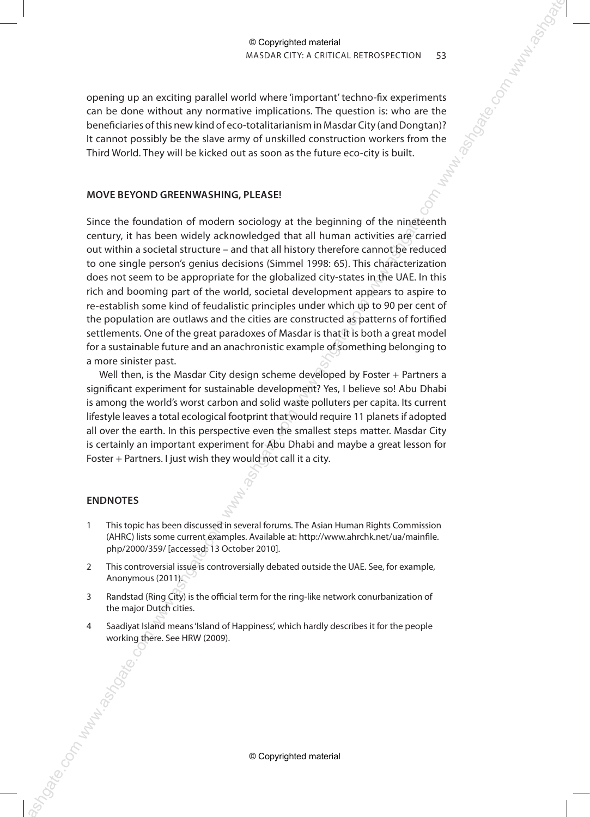opening up an exciting parallel world where 'important' techno-fix experiments can be done without any normative implications. The question is: who are the beneficiaries of this new kind of eco-totalitarianism in Masdar City (and Dongtan)? It cannot possibly be the slave army of unskilled construction workers from the Third World. They will be kicked out as soon as the future eco-city is built.

## **Move beyond Greenwashing, Please!**

 $$6.33$  or each particle control of the state of the state of the state of the state of the state of the state of the state of the state of the state of the state of the state of the state of the state of the state of the Since the foundation of modern sociology at the beginning of the nineteenth century, it has been widely acknowledged that all human activities are carried out within a societal structure – and that all history therefore cannot be reduced to one single person's genius decisions (Simmel 1998: 65). This characterization does not seem to be appropriate for the globalized city-states in the UAE. In this rich and booming part of the world, societal development appears to aspire to re-establish some kind of feudalistic principles under which up to 90 per cent of the population are outlaws and the cities are constructed as patterns of fortified settlements. One of the great paradoxes of Masdar is that it is both a great model for a sustainable future and an anachronistic example of something belonging to a more sinister past.

Well then, is the Masdar City design scheme developed by Foster + Partners a significant experiment for sustainable development? Yes, I believe so! Abu Dhabi is among the world's worst carbon and solid waste polluters per capita. Its current lifestyle leaves a total ecological footprint that would require 11 planets if adopted all over the earth. In this perspective even the smallest steps matter. Masdar City is certainly an important experiment for Abu Dhabi and maybe a great lesson for Foster + Partners. I just wish they would not call it a city.

# **Endnotes**

- 1 This topic has been discussed in several forums. The Asian Human Rights Commission (AHRC) lists some current examples. Available at: http://www.ahrchk.net/ua/mainfile. php/2000/359/ [accessed: 13 October 2010].
- 2 This controversial issue is controversially debated outside the UAE. See, for example, Anonymous (2011).
- 3 Randstad (Ring City) is the official term for the ring-like network conurbanization of the major Dutch cities.
- 4 Saadiyat Island means 'Island of Happiness', which hardly describes it for the people working there. See HRW (2009).